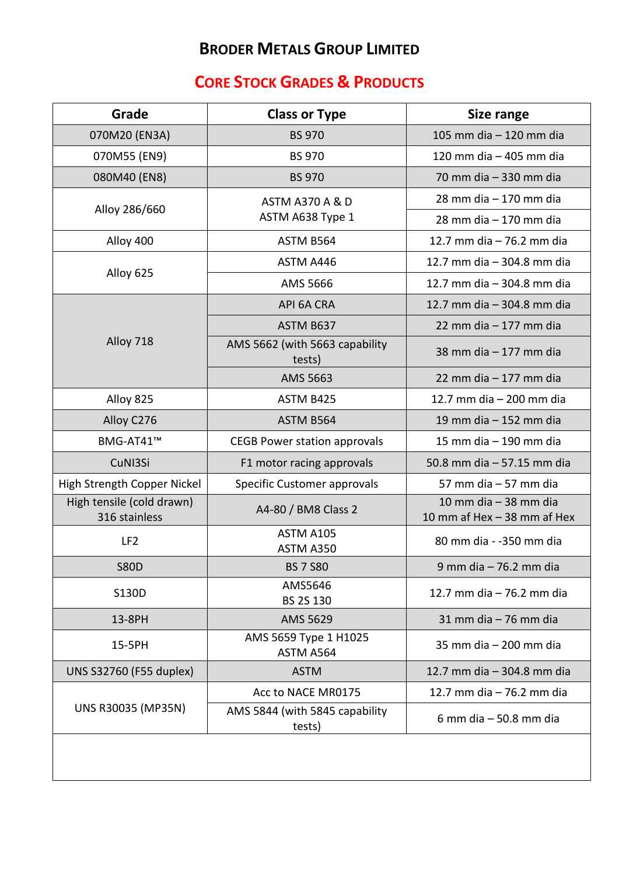## **BRODER METALS GROUP LIMITED**

## **CORE STOCK GRADES & PRODUCTS**

| Grade                                      | <b>Class or Type</b>                           | <b>Size range</b>                                      |
|--------------------------------------------|------------------------------------------------|--------------------------------------------------------|
| 070M20 (EN3A)                              | <b>BS 970</b>                                  | 105 mm dia - 120 mm dia                                |
| 070M55 (EN9)                               | <b>BS 970</b>                                  | 120 mm dia - 405 mm dia                                |
| 080M40 (EN8)                               | <b>BS 970</b>                                  | 70 mm dia - 330 mm dia                                 |
| Alloy 286/660                              | <b>ASTM A370 A &amp; D</b><br>ASTM A638 Type 1 | 28 mm dia - 170 mm dia                                 |
|                                            |                                                | 28 mm dia - 170 mm dia                                 |
| Alloy 400                                  | ASTM B564                                      | 12.7 mm dia - 76.2 mm dia                              |
| Alloy 625                                  | ASTM A446                                      | 12.7 mm dia - 304.8 mm dia                             |
|                                            | AMS 5666                                       | 12.7 mm dia - 304.8 mm dia                             |
| Alloy 718                                  | API 6A CRA                                     | 12.7 mm dia - 304.8 mm dia                             |
|                                            | ASTM B637                                      | 22 mm dia - 177 mm dia                                 |
|                                            | AMS 5662 (with 5663 capability<br>tests)       | 38 mm dia - 177 mm dia                                 |
|                                            | AMS 5663                                       | 22 mm dia $-177$ mm dia                                |
| Alloy 825                                  | ASTM B425                                      | 12.7 mm dia - 200 mm dia                               |
| Alloy C276                                 | ASTM B564                                      | 19 mm dia - 152 mm dia                                 |
| BMG-AT41™                                  | <b>CEGB Power station approvals</b>            | 15 mm dia - 190 mm dia                                 |
| CuNI3Si                                    | F1 motor racing approvals                      | 50.8 mm dia - 57.15 mm dia                             |
| High Strength Copper Nickel                | Specific Customer approvals                    | 57 mm dia - 57 mm dia                                  |
| High tensile (cold drawn)<br>316 stainless | A4-80 / BM8 Class 2                            | 10 mm dia $-$ 38 mm dia<br>10 mm af Hex - 38 mm af Hex |
| LF <sub>2</sub>                            | ASTM A105<br>ASTM A350                         | 80 mm dia - -350 mm dia                                |
| <b>S80D</b>                                | <b>BS 7 S80</b>                                | 9 mm dia - 76.2 mm dia                                 |
| S130D                                      | AMS5646<br>BS 2S 130                           | 12.7 mm dia - 76.2 mm dia                              |
| 13-8PH                                     | AMS 5629                                       | $31$ mm dia $-76$ mm dia                               |
| 15-5PH                                     | AMS 5659 Type 1 H1025<br>ASTM A564             | 35 mm dia - 200 mm dia                                 |
| UNS S32760 (F55 duplex)                    | <b>ASTM</b>                                    | 12.7 mm dia - 304.8 mm dia                             |
| UNS R30035 (MP35N)                         | Acc to NACE MR0175                             | 12.7 mm dia - 76.2 mm dia                              |
|                                            | AMS 5844 (with 5845 capability<br>tests)       | 6 mm dia $-50.8$ mm dia                                |
|                                            |                                                |                                                        |